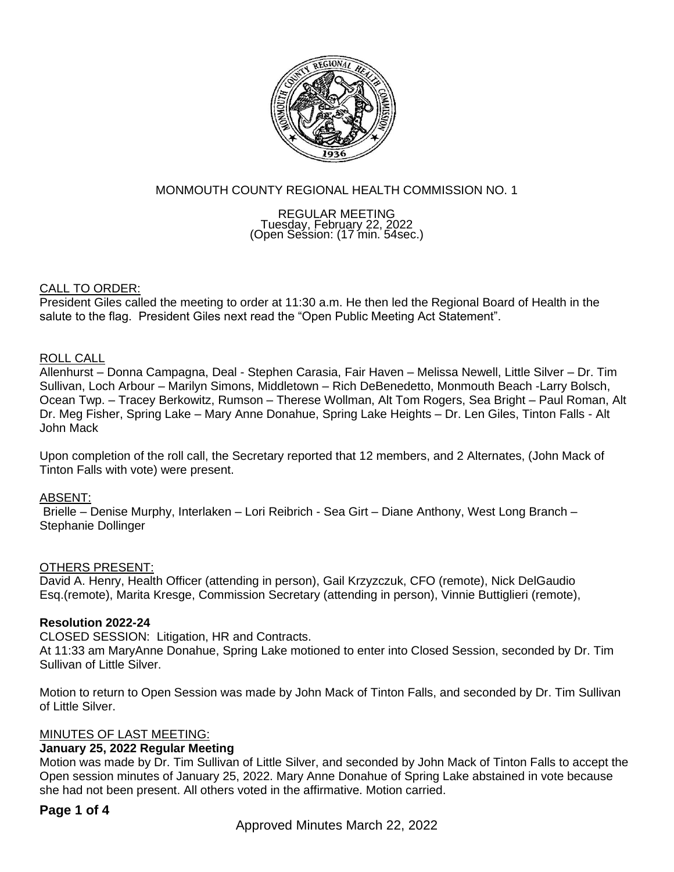

# MONMOUTH COUNTY REGIONAL HEALTH COMMISSION NO. 1

REGULAR MEETING Tuesday, February 22, 2022 (Open Session: (17 min. 54sec.)

# CALL TO ORDER:

President Giles called the meeting to order at 11:30 a.m. He then led the Regional Board of Health in the salute to the flag. President Giles next read the "Open Public Meeting Act Statement".

# ROLL CALL

Allenhurst – Donna Campagna, Deal - Stephen Carasia, Fair Haven – Melissa Newell, Little Silver – Dr. Tim Sullivan, Loch Arbour – Marilyn Simons, Middletown – Rich DeBenedetto, Monmouth Beach -Larry Bolsch, Ocean Twp. – Tracey Berkowitz, Rumson – Therese Wollman, Alt Tom Rogers, Sea Bright – Paul Roman, Alt Dr. Meg Fisher, Spring Lake – Mary Anne Donahue, Spring Lake Heights – Dr. Len Giles, Tinton Falls - Alt John Mack

Upon completion of the roll call, the Secretary reported that 12 members, and 2 Alternates, (John Mack of Tinton Falls with vote) were present.

# ABSENT:

Brielle – Denise Murphy, Interlaken – Lori Reibrich - Sea Girt – Diane Anthony, West Long Branch – Stephanie Dollinger

# OTHERS PRESENT:

David A. Henry, Health Officer (attending in person), Gail Krzyzczuk, CFO (remote), Nick DelGaudio Esq.(remote), Marita Kresge, Commission Secretary (attending in person), Vinnie Buttiglieri (remote),

# **Resolution 2022-24**

CLOSED SESSION: Litigation, HR and Contracts.

At 11:33 am MaryAnne Donahue, Spring Lake motioned to enter into Closed Session, seconded by Dr. Tim Sullivan of Little Silver.

Motion to return to Open Session was made by John Mack of Tinton Falls, and seconded by Dr. Tim Sullivan of Little Silver.

# MINUTES OF LAST MEETING:

# **January 25, 2022 Regular Meeting**

Motion was made by Dr. Tim Sullivan of Little Silver, and seconded by John Mack of Tinton Falls to accept the Open session minutes of January 25, 2022. Mary Anne Donahue of Spring Lake abstained in vote because she had not been present. All others voted in the affirmative. Motion carried.

# **Page 1 of 4**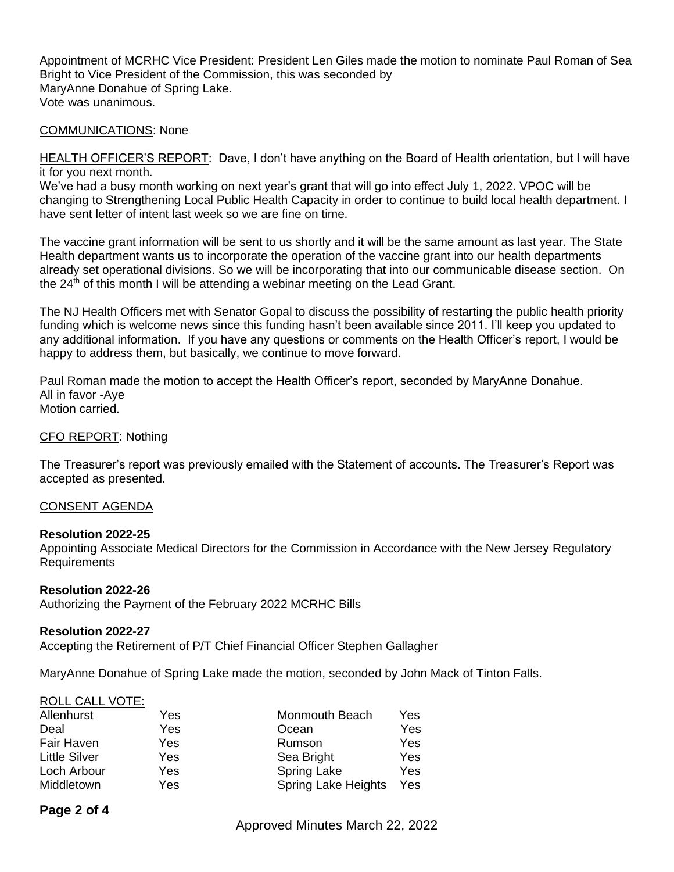Appointment of MCRHC Vice President: President Len Giles made the motion to nominate Paul Roman of Sea Bright to Vice President of the Commission, this was seconded by MaryAnne Donahue of Spring Lake. Vote was unanimous.

# COMMUNICATIONS: None

HEALTH OFFICER'S REPORT: Dave, I don't have anything on the Board of Health orientation, but I will have it for you next month.

We've had a busy month working on next year's grant that will go into effect July 1, 2022. VPOC will be changing to Strengthening Local Public Health Capacity in order to continue to build local health department. I have sent letter of intent last week so we are fine on time.

The vaccine grant information will be sent to us shortly and it will be the same amount as last year. The State Health department wants us to incorporate the operation of the vaccine grant into our health departments already set operational divisions. So we will be incorporating that into our communicable disease section. On the  $24<sup>th</sup>$  of this month I will be attending a webinar meeting on the Lead Grant.

The NJ Health Officers met with Senator Gopal to discuss the possibility of restarting the public health priority funding which is welcome news since this funding hasn't been available since 2011. I'll keep you updated to any additional information. If you have any questions or comments on the Health Officer's report, I would be happy to address them, but basically, we continue to move forward.

Paul Roman made the motion to accept the Health Officer's report, seconded by MaryAnne Donahue. All in favor -Aye Motion carried.

# CFO REPORT: Nothing

The Treasurer's report was previously emailed with the Statement of accounts. The Treasurer's Report was accepted as presented.

# CONSENT AGENDA

# **Resolution 2022-25**

Appointing Associate Medical Directors for the Commission in Accordance with the New Jersey Regulatory Requirements

#### **Resolution 2022-26**

Authorizing the Payment of the February 2022 MCRHC Bills

#### **Resolution 2022-27**

Accepting the Retirement of P/T Chief Financial Officer Stephen Gallagher

MaryAnne Donahue of Spring Lake made the motion, seconded by John Mack of Tinton Falls.

# ROLL CALL VOTE:

| Allenhurst           | Yes | Monmouth Beach             | Yes. |
|----------------------|-----|----------------------------|------|
| Deal                 | Yes | Ocean                      | Yes  |
| Fair Haven           | Yes | Rumson                     | Yes  |
| <b>Little Silver</b> | Yes | Sea Bright                 | Yes  |
| Loch Arbour          | Yes | <b>Spring Lake</b>         | Yes  |
| Middletown           | Yes | <b>Spring Lake Heights</b> | Yes  |

# **Page 2 of 4**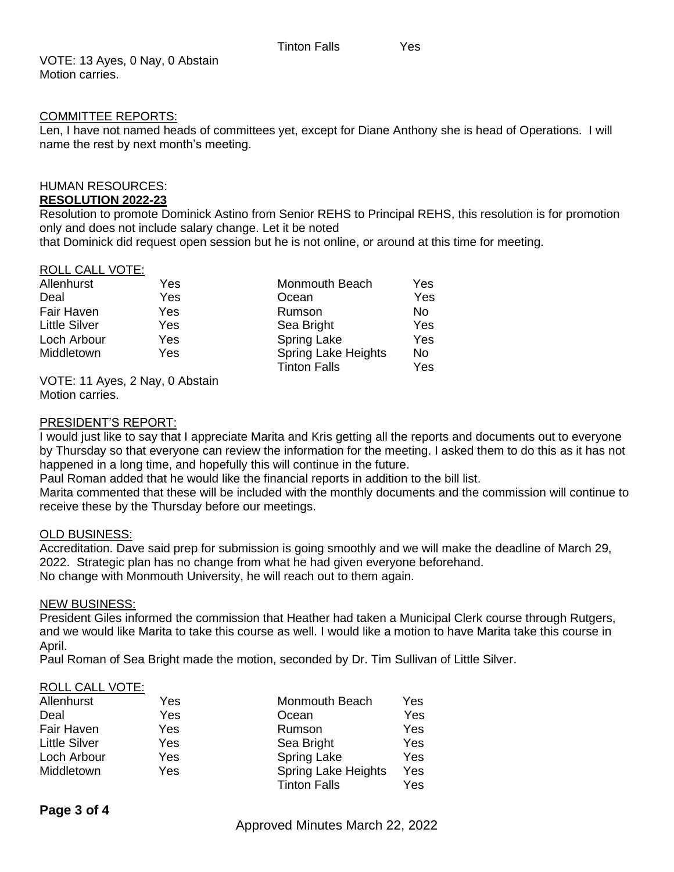VOTE: 13 Ayes, 0 Nay, 0 Abstain Motion carries.

# COMMITTEE REPORTS:

Len, I have not named heads of committees yet, except for Diane Anthony she is head of Operations. I will name the rest by next month's meeting.

# HUMAN RESOURCES:

# **RESOLUTION 2022-23**

Resolution to promote Dominick Astino from Senior REHS to Principal REHS, this resolution is for promotion only and does not include salary change. Let it be noted

that Dominick did request open session but he is not online, or around at this time for meeting.

# ROLL CALL VOTE:

| Allenhurst           | Yes | Monmouth Beach                                    | Yes       |
|----------------------|-----|---------------------------------------------------|-----------|
| Deal                 | Yes | Ocean                                             | Yes       |
| Fair Haven           | Yes | Rumson                                            | No        |
| <b>Little Silver</b> | Yes | Sea Bright                                        | Yes       |
| Loch Arbour          | Yes | <b>Spring Lake</b>                                | Yes       |
| Middletown           | Yes | <b>Spring Lake Heights</b><br><b>Tinton Falls</b> | No<br>Yes |

VOTE: 11 Ayes, 2 Nay, 0 Abstain Motion carries.

# PRESIDENT'S REPORT:

I would just like to say that I appreciate Marita and Kris getting all the reports and documents out to everyone by Thursday so that everyone can review the information for the meeting. I asked them to do this as it has not happened in a long time, and hopefully this will continue in the future.

Paul Roman added that he would like the financial reports in addition to the bill list.

Marita commented that these will be included with the monthly documents and the commission will continue to receive these by the Thursday before our meetings.

# OLD BUSINESS:

Accreditation. Dave said prep for submission is going smoothly and we will make the deadline of March 29, 2022. Strategic plan has no change from what he had given everyone beforehand. No change with Monmouth University, he will reach out to them again.

# NEW BUSINESS:

President Giles informed the commission that Heather had taken a Municipal Clerk course through Rutgers, and we would like Marita to take this course as well. I would like a motion to have Marita take this course in April.

Paul Roman of Sea Bright made the motion, seconded by Dr. Tim Sullivan of Little Silver.

# ROLL CALL VOTE:

| Allenhurst           | Yes | Monmouth Beach             | Yes |
|----------------------|-----|----------------------------|-----|
| Deal                 | Yes | Ocean                      | Yes |
| Fair Haven           | Yes | Rumson                     | Yes |
| <b>Little Silver</b> | Yes | Sea Bright                 | Yes |
| Loch Arbour          | Yes | <b>Spring Lake</b>         | Yes |
| Middletown           | Yes | <b>Spring Lake Heights</b> | Yes |
|                      |     | <b>Tinton Falls</b>        | Yes |